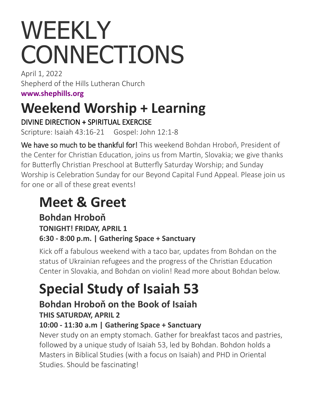# WEEKLY **CONNECTIONS**

April 1, 2022 Shepherd of the Hills Lutheran Church **[www.shephills.org](http://www.shephills.org)**

### **Weekend Worship + Learning**

DIVINE DIRECTION + SPIRITUAL EXERCISE

Scripture: Isaiah 43:16-21 Gospel: John 12:1-8

We have so much to be thankful for! This weekend Bohdan Hroboň, President of the Center for Christian Education, joins us from Martin, Slovakia; we give thanks for Butterfly Christian Preschool at Butterfly Saturday Worship; and Sunday Worship is Celebration Sunday for our Beyond Capital Fund Appeal. Please join us for one or all of these great events!

### **Meet & Greet**

### **Bohdan Hroboň TONIGHT! FRIDAY, APRIL 1 6:30 - 8:00 p.m. | Gathering Space + Sanctuary**

Kick off a fabulous weekend with a taco bar, updates from Bohdan on the status of Ukrainian refugees and the progress of the Christian Education Center in Slovakia, and Bohdan on violin! Read more about Bohdan below.

### **Special Study of Isaiah 53**

### **Bohdan Hroboň on the Book of Isaiah THIS SATURDAY, APRIL 2**

### **10:00 - 11:30 a.m | Gathering Space + Sanctuary**

Never study on an empty stomach. Gather for breakfast tacos and pastries, followed by a unique study of Isaiah 53, led by Bohdan. Bohdon holds a Masters in Biblical Studies (with a focus on Isaiah) and PHD in Oriental Studies. Should be fascinating!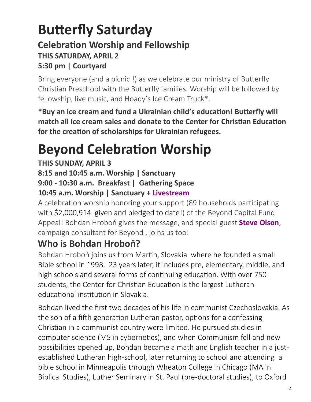### **Butterfly Saturday**

### **Celebration Worship and Fellowship THIS SATURDAY, APRIL 2 5:30 pm | Courtyard**

Bring everyone (and a picnic !) as we celebrate our ministry of Butterfly Christian Preschool with the Butterfly families. Worship will be followed by fellowship, live music, and Hoady's Ice Cream Truck\*.

**\*Buy an ice cream and fund a Ukrainian child's education! Butterfly will match all ice cream sales and donate to the Center for Christian Education for the creation of scholarships for Ukrainian refugees.**

### **Beyond Celebration Worship**

### **THIS SUNDAY, APRIL 3**

#### **8:15 and 10:45 a.m. Worship | Sanctuary 9:00 - 10:30 a.m. Breakfast | Gathering Space 10:45 a.m. Worship | Sanctuary + [Livestream](http://www.shephills.org/watch)**

A celebration worship honoring your support (89 households participating with \$2,000,914 given and pledged to date!) of the Beyond Capital Fund Appeal! Bohdan Hroboň gives the message, and special guest **[Steve Olson](olsonadvancement.com)**, campaign consultant for Beyond , joins us too!

### **Who is Bohdan Hroboň?**

Bohdan Hroboň joins us from Martin, Slovakia where he founded a small Bible school in 1998. 23 years later, it includes pre, elementary, middle, and high schools and several forms of continuing education. With over 750 students, the Center for Christian Education is the largest Lutheran educational institution in Slovakia.

Bohdan lived the first two decades of his life in communist Czechoslovakia. As the son of a fifth generation Lutheran pastor, options for a confessing Christian in a communist country were limited. He pursued studies in computer science (MS in cybernetics), and when Communism fell and new possibilities opened up, Bohdan became a math and English teacher in a justestablished Lutheran high-school, later returning to school and attending a bible school in Minneapolis through Wheaton College in Chicago (MA in Biblical Studies), Luther Seminary in St. Paul (pre-doctoral studies), to Oxford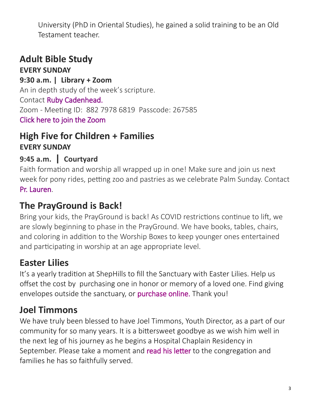University (PhD in Oriental Studies), he gained a solid training to be an Old Testament teacher.

### **Adult Bible Study**

**EVERY SUNDAY 9:30 a.m. | Library + Zoom** An in depth study of the week's scripture. Contact [Ruby Cadenhead.](mailto:rubies61@gmail.com) Zoom - Meeting ID: 882 7978 6819 Passcode: 267585 [Click here to join the Zoom](https://us02web.zoom.us/j/88279786819?pwd=Uytzc1NsT0xCWlM5dnVCMlBFZ1djUT09) 

### **High Five for Children + Families EVERY SUNDAY**

#### **9:45 a.m. | Courtyard**

Faith formation and worship all wrapped up in one! Make sure and join us next week for pony rides, petting zoo and pastries as we celebrate Palm Sunday. Contact [Pr. Lauren.](mailto:lauren@shephills.org)

### **The PrayGround is Back!**

Bring your kids, the PrayGround is back! As COVID restrictions continue to lift, we are slowly beginning to phase in the PrayGround. We have books, tables, chairs, and coloring in addition to the Worship Boxes to keep younger ones entertained and participating in worship at an age appropriate level.

### **Easter Lilies**

It's a yearly tradition at ShepHills to fill the Sanctuary with Easter Lilies. Help us offset the cost by purchasing one in honor or memory of a loved one. Find giving envelopes outside the sanctuary, or [purchase online.](https://onrealm.org/shephills/give/lily) Thank you!

### **Joel Timmons**

We have truly been blessed to have Joel Timmons, Youth Director, as a part of our community for so many years. It is a bittersweet goodbye as we wish him well in the next leg of his journey as he begins a Hospital Chaplain Residency in September. Please take a moment and [read his letter t](https://shephills.org/wp-content/uploads/2022/03/Letter-from-Joel-Timmons-Youth-Director.pdf)o the congregation and families he has so faithfully served.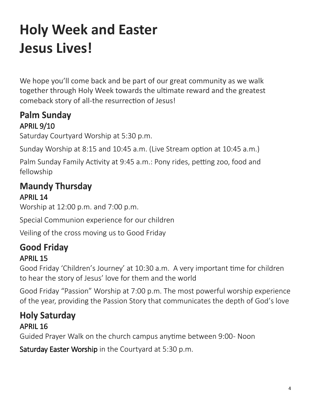### **Holy Week and Easter Jesus Lives!**

We hope you'll come back and be part of our great community as we walk together through Holy Week towards the ultimate reward and the greatest comeback story of all-the resurrection of Jesus!

### **Palm Sunday** APRIL 9/10

Saturday Courtyard Worship at 5:30 p.m.

Sunday Worship at 8:15 and 10:45 a.m. (Live Stream option at 10:45 a.m.)

Palm Sunday Family Activity at 9:45 a.m.: Pony rides, petting zoo, food and fellowship

### **Maundy Thursday**

### APRIL 14

Worship at 12:00 p.m. and 7:00 p.m.

Special Communion experience for our children

Veiling of the cross moving us to Good Friday

### **Good Friday**

### APRIL 15

Good Friday 'Children's Journey' at 10:30 a.m. A very important time for children to hear the story of Jesus' love for them and the world

Good Friday "Passion" Worship at 7:00 p.m. The most powerful worship experience of the year, providing the Passion Story that communicates the depth of God's love

### **Holy Saturday**

### APRIL 16

Guided Prayer Walk on the church campus anytime between 9:00- Noon

Saturday Easter Worship in the Courtyard at 5:30 p.m.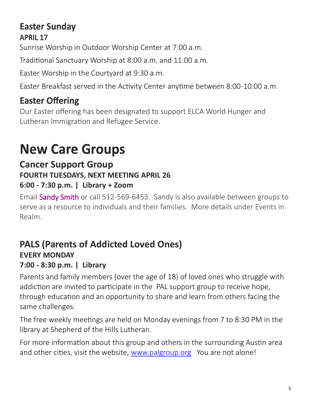### **Easter Sunday** APRIL 17

Sunrise Worship in Outdoor Worship Center at 7:00 a.m.

Traditional Sanctuary Worship at 8:00 a.m. and 11:00 a.m.

Easter Worship in the Courtyard at 9:30 a.m.

Easter Breakfast served in the Activity Center anytime between 8:00-10:00 a.m.

### **Easter Offering**

Our Easter offering has been designated to support ELCA World Hunger and Lutheran Immigration and Refugee Service.

### **New Care Groups**

### **Cancer Support Group FOURTH TUESDAYS, NEXT MEETING APRIL 26 6:00 - 7:30 p.m. | Library + Zoom**

Email [Sandy Smith](mailto:texas.sandysmith@gmail.com) or call 512-569-6453. Sandy is also available between groups to serve as a resource to individuals and their families. More details under Events in Realm.

### **PALS (Parents of Addicted Loved Ones) EVERY MONDAY**

### **7:00 - 8:30 p.m. | Library**

Parents and family members (over the age of 18) of loved ones who struggle with addiction are invited to participate in the PAL support group to receive hope, through education and an opportunity to share and learn from others facing the same challenges.

The free weekly meetings are held on Monday evenings from 7 to 8:30 PM in the library at Shepherd of the Hills Lutheran.

For more information about this group and others in the surrounding Austin area and other cities, visit the website, [www.palgroup.org](http://www.palgroup.org) You are not alone!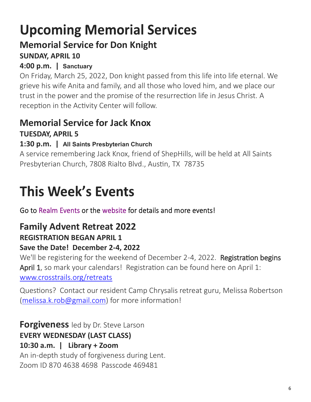### **Upcoming Memorial Services**

### **Memorial Service for Don Knight**

### **SUNDAY, APRIL 10**

### **4:00 p.m. | Sanctuary**

On Friday, March 25, 2022, Don knight passed from this life into life eternal. We grieve his wife Anita and family, and all those who loved him, and we place our trust in the power and the promise of the resurrection life in Jesus Christ. A reception in the Activity Center will follow.

#### **Memorial Service for Jack Knox TUESDAY, APRIL 5**

### **1:30 p.m. | All Saints Presbyterian Church**

A service remembering Jack Knox, friend of ShepHills, will be held at All Saints Presbyterian Church, 7808 Rialto Blvd., Austin, TX 78735

### **This Week's Events**

Go to Realm Events or the website for details and more events!

### **Family Advent Retreat 2022**

#### **REGISTRATION BEGAN APRIL 1**

#### **Save the Date! December 2-4, 2022**

We'll be registering for the weekend of December 2-4, 2022. Registration begins April 1, so mark your calendars! Registration can be found here on April 1: [www.crosstrails.org/retreats](http://www.crosstrails.org/retreats)

Questions? Contact our resident Camp Chrysalis retreat guru, Melissa Robertson ([melissa.k.rob@gmail.com\)](mailto:melissa.k.rob@gmail.com) for more information!

**Forgiveness** led by Dr. Steve Larson **EVERY WEDNESDAY (LAST CLASS) 10:30 a.m. | Library + Zoom**

An in-depth study of forgiveness during Lent. Zoom ID 870 4638 4698 Passcode 469481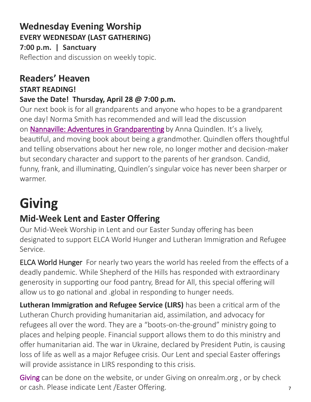### **Wednesday Evening Worship EVERY WEDNESDAY (LAST GATHERING)**

**7:00 p.m. | Sanctuary**  Reflection and discussion on weekly topic.

### **Readers' Heaven START READING!**

### **Save the Date! Thursday, April 28 @ 7:00 p.m.**

Our next book is for all grandparents and anyone who hopes to be a grandparent one day! Norma Smith has recommended and will lead the discussion on [Nannaville: Adventures in Grandparenting](https://www.bookpeople.com/book/9780812985917) by Anna Quindlen. It's a lively, beautiful, and moving book about being a grandmother. Quindlen offers thoughtful and telling observations about her new role, no longer mother and decision-maker but secondary character and support to the parents of her grandson. Candid, funny, frank, and illuminating, Quindlen's singular voice has never been sharper or warmer.

## **Giving**

### **Mid-Week Lent and Easter Offering**

Our Mid-Week Worship in Lent and our Easter Sunday offering has been designated to support ELCA World Hunger and Lutheran Immigration and Refugee Service.

ELCA World Hunger For nearly two years the world has reeled from the effects of a deadly pandemic. While Shepherd of the Hills has responded with extraordinary generosity in supporting our food pantry, Bread for All, this special offering will allow us to go national and .global in responding to hunger needs.

**Lutheran Immigration and Refugee Service (LIRS)** has been a critical arm of the Lutheran Church providing humanitarian aid, assimilation, and advocacy for refugees all over the word. They are a "boots-on-the-ground" ministry going to places and helping people. Financial support allows them to do this ministry and offer humanitarian aid. The war in Ukraine, declared by President Putin, is causing loss of life as well as a major Refugee crisis. Our Lent and special Easter offerings will provide assistance in LIRS responding to this crisis.

[Giving c](http://www.shephills.org/give/)an be done on the website, or under Giving on onrealm.org, or by check or cash. Please indicate Lent /Easter Offering.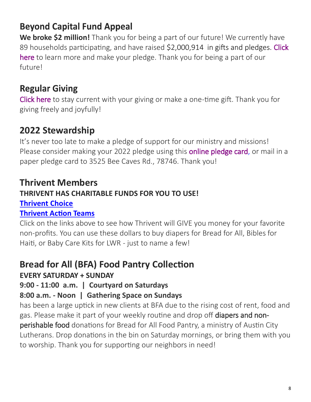### **Beyond Capital Fund Appeal**

We broke \$2 million! Thank you for being a part of our future! We currently have 89 households participating, and have raised \$2,000,914 in gifts and pledges. Click [here](https://shephills.org/beyond/) to learn more and make your pledge. Thank you for being a part of our future!

### **Regular Giving**

[Click here](https://shephills.org/give/) to stay current with your giving or make a one-time gift. Thank you for giving freely and joyfully!

### **2022 Stewardship**

It's never too late to make a pledge of support for our ministry and missions! Please consider making your 2022 pledge using this **online pledge card**, or mail in a paper pledge card to 3525 Bee Caves Rd., 78746. Thank you!

### **Thrivent Members**

### **THRIVENT HAS CHARITABLE FUNDS FOR YOU TO USE!**

#### **[Thrivent Choice](https://www.thrivent.com/about-us/membership/thrivent-choice)**

#### **[Thrivent Action Teams](https://www.thrivent.com/about-us/membership/thrivent-action-teams)**

Click on the links above to see how Thrivent will GIVE you money for your favorite non-profits. You can use these dollars to buy diapers for Bread for All, Bibles for Haiti, or Baby Care Kits for LWR - just to name a few!

### **Bread for All (BFA) Food Pantry Collection**

#### **EVERY SATURDAY + SUNDAY**

#### **9:00 - 11:00 a.m. | Courtyard on Saturdays**

#### **8:00 a.m. - Noon | Gathering Space on Sundays**

has been a large uptick in new clients at BFA due to the rising cost of rent, food and gas. Please make it part of your weekly routine and drop off diapers and nonperishable food donations for Bread for All Food Pantry, a ministry of Austin City Lutherans. Drop donations in the bin on Saturday mornings, or bring them with you to worship. Thank you for supporting our neighbors in need!